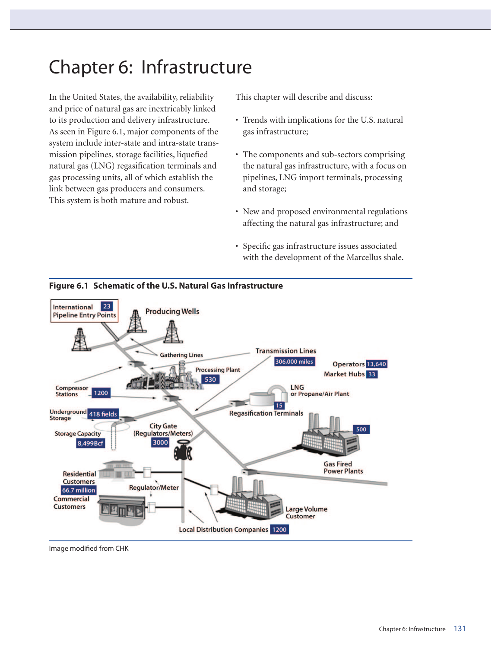# Chapter 6: Infrastructure

In the United States, the availability, reliability and price of natural gas are inextricably linked to its production and delivery infrastructure. As seen in Figure 6.1, major components of the system include inter-state and intra-state transmission pipelines, storage facilities, liquefied natural gas (LNG) regasification terminals and gas processing units, all of which establish the link between gas producers and consumers. This system is both mature and robust.

This chapter will describe and discuss:

- Trends with implications for the U.S. natural gas infrastructure;
- The components and sub-sectors comprising the natural gas infrastructure, with a focus on pipelines, LNG import terminals, processing and storage;
- New and proposed environmental regulations affecting the natural gas infrastructure; and
- Specific gas infrastructure issues associated with the development of the Marcellus shale.



**Figure 6.1 Schematic of the U.S. Natural Gas Infrastructure**

Image modified from CHK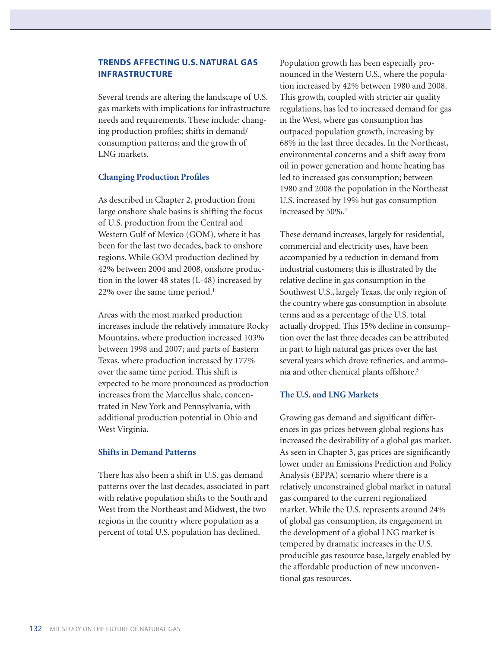## **TRENDS AFFECTING U.S. NATURAL GAS INFRASTRUCTURE**

Several trends are altering the landscape of U.S. gas markets with implications for infrastructure needs and requirements. These include: changing production profiles; shifts in demand/ consumption patterns; and the growth of LNG markets.

## **Changing Production Profiles**

As described in Chapter 2, production from large onshore shale basins is shifting the focus of U.S. production from the Central and Western Gulf of Mexico (GOM), where it has been for the last two decades, back to onshore regions. While GOM production declined by 42% between 2004 and 2008, onshore production in the lower 48 states (L-48) increased by  $22\%$  over the same time period.<sup>1</sup>

Areas with the most marked production increases include the relatively immature Rocky Mountains, where production increased 103% between 1998 and 2007; and parts of Eastern Texas, where production increased by 177% over the same time period. This shift is expected to be more pronounced as production increases from the Marcellus shale, concentrated in New York and Pennsylvania, with additional production potential in Ohio and West Virginia.

#### **Shifts in Demand Patterns**

There has also been a shift in U.S. gas demand patterns over the last decades, associated in part with relative population shifts to the South and West from the Northeast and Midwest, the two regions in the country where population as a percent of total U.S. population has declined.

Population growth has been especially pronounced in the Western U.S., where the population increased by 42% between 1980 and 2008. This growth, coupled with stricter air quality regulations, has led to increased demand for gas in the West, where gas consumption has outpaced population growth, increasing by 68% in the last three decades. In the Northeast, environmental concerns and a shift away from oil in power generation and home heating has led to increased gas consumption; between 1980 and 2008 the population in the Northeast U.S. increased by 19% but gas consumption increased by 50%.<sup>2</sup>

These demand increases, largely for residential, commercial and electricity uses, have been accompanied by a reduction in demand from industrial customers; this is illustrated by the relative decline in gas consumption in the Southwest U.S., largely Texas, the only region of the country where gas consumption in absolute terms and as a percentage of the U.S. total actually dropped. This 15% decline in consumption over the last three decades can be attributed in part to high natural gas prices over the last several years which drove refineries, and ammonia and other chemical plants offshore.3

#### **The U.S. and LNG Markets**

Growing gas demand and significant differences in gas prices between global regions has increased the desirability of a global gas market. As seen in Chapter 3, gas prices are significantly lower under an Emissions Prediction and Policy Analysis (EPPA) scenario where there is a relatively unconstrained global market in natural gas compared to the current regionalized market. While the U.S. represents around 24% of global gas consumption, its engagement in the development of a global LNG market is tempered by dramatic increases in the U.S. producible gas resource base, largely enabled by the affordable production of new unconventional gas resources.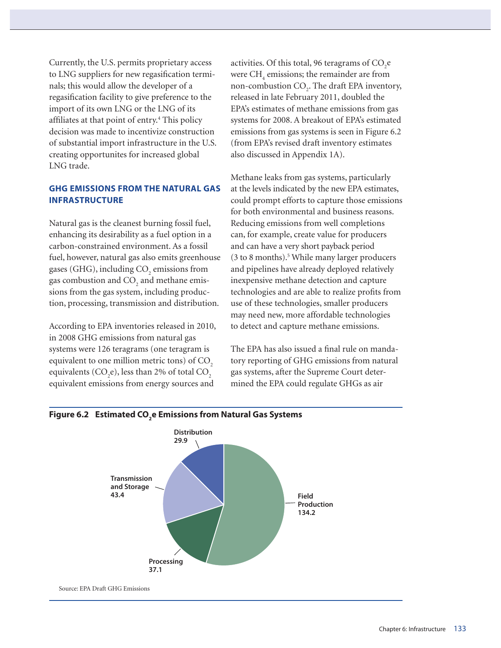Currently, the U.S. permits proprietary access to LNG suppliers for new regasification terminals; this would allow the developer of a regasification facility to give preference to the import of its own LNG or the LNG of its affiliates at that point of entry.<sup>4</sup> This policy decision was made to incentivize construction of substantial import infrastructure in the U.S. creating opportunites for increased global LNG trade.

# **GHG EMISSIONS FROM THE NATURAL GAS INFRASTRUCTURE**

Natural gas is the cleanest burning fossil fuel, enhancing its desirability as a fuel option in a carbon-constrained environment. As a fossil fuel, however, natural gas also emits greenhouse gases (GHG), including  $\mathrm{CO}_2$  emissions from gas combustion and  $\mathrm{CO}_2$  and methane emissions from the gas system, including production, processing, transmission and distribution.

According to EPA inventories released in 2010, in 2008 GHG emissions from natural gas systems were 126 teragrams (one teragram is equivalent to one million metric tons) of CO<sub>2</sub> equivalents (CO<sub>2</sub>e), less than 2% of total CO<sub>2</sub> equivalent emissions from energy sources and

activities. Of this total, 96 teragrams of  $\rm CO_{2}e$ were  $\mathrm{CH}_4$  emissions; the remainder are from non-combustion  $CO<sub>2</sub>$ . The draft EPA inventory, released in late February 2011, doubled the EPA's estimates of methane emissions from gas systems for 2008. A breakout of EPA's estimated emissions from gas systems is seen in Figure 6.2 (from EPA's revised draft inventory estimates also discussed in Appendix 1A).

Methane leaks from gas systems, particularly at the levels indicated by the new EPA estimates, could prompt efforts to capture those emissions for both environmental and business reasons. Reducing emissions from well completions can, for example, create value for producers and can have a very short payback period (3 to 8 months).5 While many larger producers and pipelines have already deployed relatively inexpensive methane detection and capture technologies and are able to realize profits from use of these technologies, smaller producers may need new, more affordable technologies to detect and capture methane emissions.

The EPA has also issued a final rule on mandatory reporting of GHG emissions from natural gas systems, after the Supreme Court determined the EPA could regulate GHGs as air



# **Figure 6.2 Estimated CO2 e Emissions from Natural Gas Systems**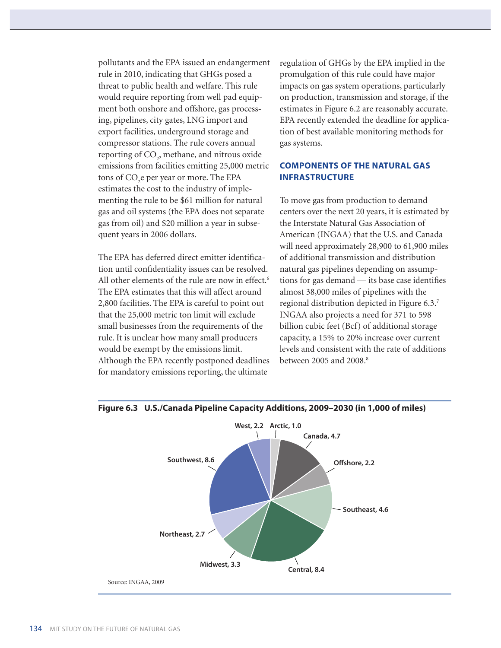pollutants and the EPA issued an endangerment rule in 2010, indicating that GHGs posed a threat to public health and welfare. This rule would require reporting from well pad equipment both onshore and offshore, gas processing, pipelines, city gates, LNG import and export facilities, underground storage and compressor stations. The rule covers annual reporting of  $\mathrm{CO}_2$ , methane, and nitrous oxide emissions from facilities emitting 25,000 metric tons of CO<sub>2</sub>e per year or more. The EPA estimates the cost to the industry of implementing the rule to be \$61 million for natural gas and oil systems (the EPA does not separate gas from oil) and \$20 million a year in subsequent years in 2006 dollars.

The EPA has deferred direct emitter identification until confidentiality issues can be resolved. All other elements of the rule are now in effect.<sup>6</sup> The EPA estimates that this will affect around 2,800 facilities. The EPA is careful to point out that the 25,000 metric ton limit will exclude small businesses from the requirements of the rule. It is unclear how many small producers would be exempt by the emissions limit. Although the EPA recently postponed deadlines for mandatory emissions reporting, the ultimate

regulation of GHGs by the EPA implied in the promulgation of this rule could have major impacts on gas system operations, particularly on production, transmission and storage, if the estimates in Figure 6.2 are reasonably accurate. EPA recently extended the deadline for application of best available monitoring methods for gas systems.

# **COMPONENTS OF THE NATURAL GAS INFRASTRUCTURE**

To move gas from production to demand centers over the next 20 years, it is estimated by the Interstate Natural Gas Association of American (INGAA) that the U.S. and Canada will need approximately 28,900 to 61,900 miles of additional transmission and distribution natural gas pipelines depending on assumptions for gas demand — its base case identifies almost 38,000 miles of pipelines with the regional distribution depicted in Figure 6.3.7 INGAA also projects a need for 371 to 598 billion cubic feet (Bcf) of additional storage capacity, a 15% to 20% increase over current levels and consistent with the rate of additions between 2005 and 2008.<sup>8</sup>



## **Figure 6.3 U.S./Canada Pipeline Capacity Additions, 2009–2030 (in 1,000 of miles)**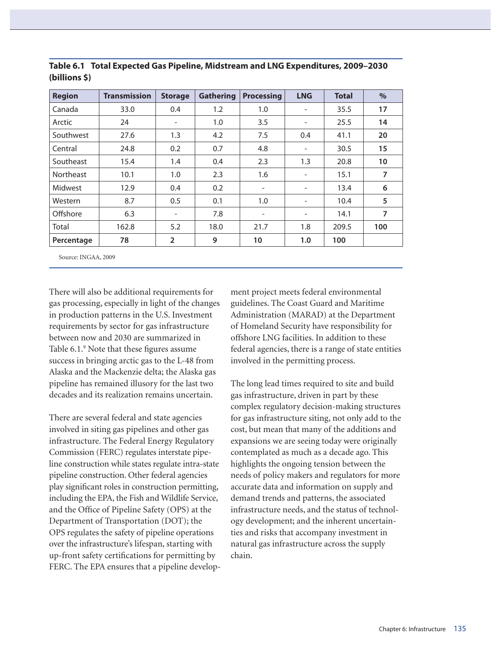| <b>Region</b>    | <b>Transmission</b> | <b>Storage</b>           | <b>Gathering</b> | <b>Processing</b>        | <b>LNG</b>               | <b>Total</b> | $\%$ |
|------------------|---------------------|--------------------------|------------------|--------------------------|--------------------------|--------------|------|
| Canada           | 33.0                | 0.4                      | 1.2              | 1.0                      | -                        | 35.5         | 17   |
| Arctic           | 24                  | $\overline{\phantom{a}}$ | 1.0              | 3.5                      | -                        | 25.5         | 14   |
| Southwest        | 27.6                | 1.3                      | 4.2              | 7.5                      | 0.4                      | 41.1         | 20   |
| Central          | 24.8                | 0.2                      | 0.7              | 4.8                      | $\overline{\phantom{a}}$ | 30.5         | 15   |
| Southeast        | 15.4                | 1.4                      | 0.4              | 2.3                      | 1.3                      | 20.8         | 10   |
| <b>Northeast</b> | 10.1                | 1.0                      | 2.3              | 1.6                      | -                        | 15.1         | 7    |
| Midwest          | 12.9                | 0.4                      | 0.2              | $\overline{\phantom{a}}$ | -                        | 13.4         | 6    |
| Western          | 8.7                 | 0.5                      | 0.1              | 1.0                      | -                        | 10.4         | 5    |
| Offshore         | 6.3                 | -                        | 7.8              | ۰                        | -                        | 14.1         | 7    |
| Total            | 162.8               | 5.2                      | 18.0             | 21.7                     | 1.8                      | 209.5        | 100  |
| Percentage       | 78                  | $\overline{2}$           | 9                | 10                       | 1.0                      | 100          |      |

**Table 6.1 Total Expected Gas Pipeline, Midstream and LNG Expenditures, 2009–2030 (billions \$)**

Source: INGAA, 2009

There will also be additional requirements for gas processing, especially in light of the changes in production patterns in the U.S. Investment requirements by sector for gas infrastructure between now and 2030 are summarized in Table 6.1.<sup>9</sup> Note that these figures assume success in bringing arctic gas to the L-48 from Alaska and the Mackenzie delta; the Alaska gas pipeline has remained illusory for the last two decades and its realization remains uncertain.

There are several federal and state agencies involved in siting gas pipelines and other gas infrastructure. The Federal Energy Regulatory Commission (FERC) regulates interstate pipeline construction while states regulate intra-state pipeline construction. Other federal agencies play significant roles in construction permitting, including the EPA, the Fish and Wildlife Service, and the Office of Pipeline Safety (OPS) at the Department of Transportation (DOT); the OPS regulates the safety of pipeline operations over the infrastructure's lifespan, starting with up-front safety certifications for permitting by FERC. The EPA ensures that a pipeline development project meets federal environmental guidelines. The Coast Guard and Maritime Administration (MARAD) at the Department of Homeland Security have responsibility for offshore LNG facilities. In addition to these federal agencies, there is a range of state entities involved in the permitting process.

The long lead times required to site and build gas infrastructure, driven in part by these complex regulatory decision-making structures for gas infrastructure siting, not only add to the cost, but mean that many of the additions and expansions we are seeing today were originally contemplated as much as a decade ago. This highlights the ongoing tension between the needs of policy makers and regulators for more accurate data and information on supply and demand trends and patterns, the associated infrastructure needs, and the status of technology development; and the inherent uncertainties and risks that accompany investment in natural gas infrastructure across the supply chain.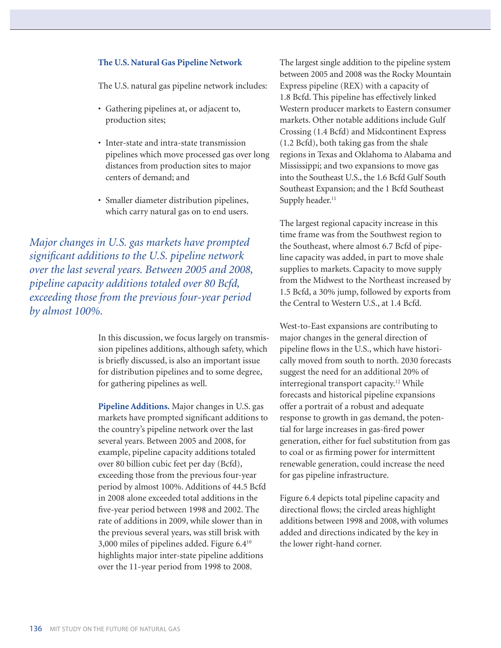#### **The U.S. Natural Gas Pipeline Network**

The U.S. natural gas pipeline network includes:

- Gathering pipelines at, or adjacent to, production sites;
- Inter-state and intra-state transmission pipelines which move processed gas over long distances from production sites to major centers of demand; and
- Smaller diameter distribution pipelines, which carry natural gas on to end users.

*Major changes in U.S. gas markets have prompted significant additions to the U.S. pipeline network over the last several years. Between 2005 and 2008, pipeline capacity additions totaled over 80 Bcfd, exceeding those from the previous four-year period by almost 100%.*

> In this discussion, we focus largely on transmission pipelines additions, although safety, which is briefly discussed, is also an important issue for distribution pipelines and to some degree, for gathering pipelines as well.

> **Pipeline Additions.** Major changes in U.S. gas markets have prompted significant additions to the country's pipeline network over the last several years. Between 2005 and 2008, for example, pipeline capacity additions totaled over 80 billion cubic feet per day (Bcfd), exceeding those from the previous four-year period by almost 100%. Additions of 44.5 Bcfd in 2008 alone exceeded total additions in the five-year period between 1998 and 2002. The rate of additions in 2009, while slower than in the previous several years, was still brisk with 3,000 miles of pipelines added. Figure 6.410 highlights major inter-state pipeline additions over the 11-year period from 1998 to 2008.

The largest single addition to the pipeline system between 2005 and 2008 was the Rocky Mountain Express pipeline (REX) with a capacity of 1.8 Bcfd. This pipeline has effectively linked Western producer markets to Eastern consumer markets. Other notable additions include Gulf Crossing (1.4 Bcfd) and Midcontinent Express (1.2 Bcfd), both taking gas from the shale regions in Texas and Oklahoma to Alabama and Mississippi; and two expansions to move gas into the Southeast U.S., the 1.6 Bcfd Gulf South Southeast Expansion; and the 1 Bcfd Southeast Supply header.<sup>11</sup>

The largest regional capacity increase in this time frame was from the Southwest region to the Southeast, where almost 6.7 Bcfd of pipeline capacity was added, in part to move shale supplies to markets. Capacity to move supply from the Midwest to the Northeast increased by 1.5 Bcfd, a 30% jump, followed by exports from the Central to Western U.S., at 1.4 Bcfd.

West-to-East expansions are contributing to major changes in the general direction of pipeline flows in the U.S., which have historically moved from south to north. 2030 forecasts suggest the need for an additional 20% of interregional transport capacity.12 While forecasts and historical pipeline expansions offer a portrait of a robust and adequate response to growth in gas demand, the potential for large increases in gas-fired power generation, either for fuel substitution from gas to coal or as firming power for intermittent renewable generation, could increase the need for gas pipeline infrastructure.

Figure 6.4 depicts total pipeline capacity and directional flows; the circled areas highlight additions between 1998 and 2008, with volumes added and directions indicated by the key in the lower right-hand corner.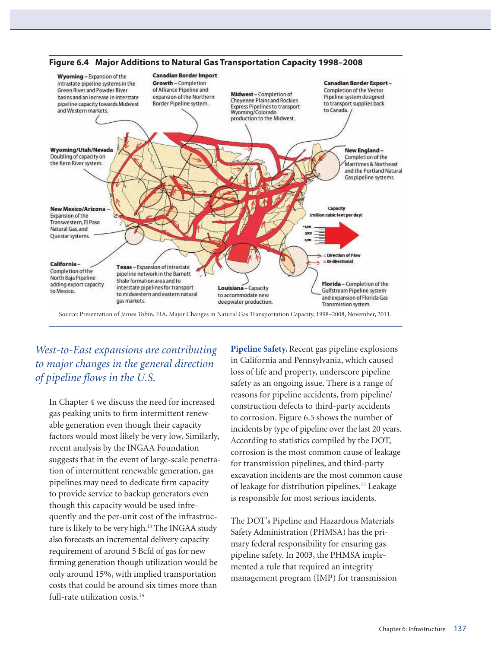

#### **Figure 6.4 Major Additions to Natural Gas Transportation Capacity 1998–2008**

Source: Presentation of James Tobin, EIA, Major Changes in Natural Gas Transportation Capacity, 1998–2008, November, 2011.

# *West-to-East expansions are contributing to major changes in the general direction of pipeline flows in the U.S.*

In Chapter 4 we discuss the need for increased gas peaking units to firm intermittent renewable generation even though their capacity factors would most likely be very low. Similarly, recent analysis by the INGAA Foundation suggests that in the event of large-scale penetration of intermittent renewable generation, gas pipelines may need to dedicate firm capacity to provide service to backup generators even though this capacity would be used infrequently and the per-unit cost of the infrastructure is likely to be very high.<sup>13</sup> The INGAA study also forecasts an incremental delivery capacity requirement of around 5 Bcfd of gas for new firming generation though utilization would be only around 15%, with implied transportation costs that could be around six times more than full-rate utilization costs.14

**Pipeline Safety.** Recent gas pipeline explosions in California and Pennsylvania, which caused loss of life and property, underscore pipeline safety as an ongoing issue. There is a range of reasons for pipeline accidents, from pipeline/ construction defects to third-party accidents to corrosion. Figure 6.5 shows the number of incidents by type of pipeline over the last 20 years. According to statistics compiled by the DOT, corrosion is the most common cause of leakage for transmission pipelines, and third-party excavation incidents are the most common cause of leakage for distribution pipelines.15 Leakage is responsible for most serious incidents.

The DOT's Pipeline and Hazardous Materials Safety Administration (PHMSA) has the primary federal responsibility for ensuring gas pipeline safety. In 2003, the PHMSA implemented a rule that required an integrity management program (IMP) for transmission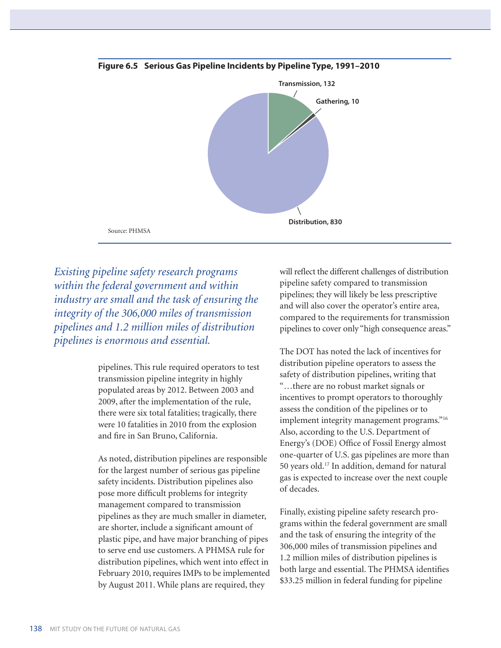

**Figure 6.5 Serious Gas Pipeline Incidents by Pipeline Type, 1991–2010**

*Existing pipeline safety research programs within the federal government and within industry are small and the task of ensuring the integrity of the 306,000 miles of transmission pipelines and 1.2 million miles of distribution pipelines is enormous and essential.* 

> pipelines. This rule required operators to test transmission pipeline integrity in highly populated areas by 2012. Between 2003 and 2009, after the implementation of the rule, there were six total fatalities; tragically, there were 10 fatalities in 2010 from the explosion and fire in San Bruno, California.

As noted, distribution pipelines are responsible for the largest number of serious gas pipeline safety incidents. Distribution pipelines also pose more difficult problems for integrity management compared to transmission pipelines as they are much smaller in diameter, are shorter, include a significant amount of plastic pipe, and have major branching of pipes to serve end use customers. A PHMSA rule for distribution pipelines, which went into effect in February 2010, requires IMPs to be implemented by August 2011. While plans are required, they

will reflect the different challenges of distribution pipeline safety compared to transmission pipelines; they will likely be less prescriptive and will also cover the operator's entire area, compared to the requirements for transmission pipelines to cover only "high consequence areas."

The DOT has noted the lack of incentives for distribution pipeline operators to assess the safety of distribution pipelines, writing that "…there are no robust market signals or incentives to prompt operators to thoroughly assess the condition of the pipelines or to implement integrity management programs."16 Also, according to the U.S. Department of Energy's (DOE) Office of Fossil Energy almost one-quarter of U.S. gas pipelines are more than 50 years old.17 In addition, demand for natural gas is expected to increase over the next couple of decades.

Finally, existing pipeline safety research prodiameter, Finally, electric Processes, Figure 2016, Processes Processes Processes Processes Processes Processes Processes Processes Processes Processes Processes Processes Processes Processes Processes Processes Processes  $\frac{d}{d}$  and the task of ensuring the integrity of the 306,000 miles of transmission pipelines and 1.2 million miles of distribution pipelines is both large and essential. The PHMSA identifies \$33.25 million in federal funding for pipeline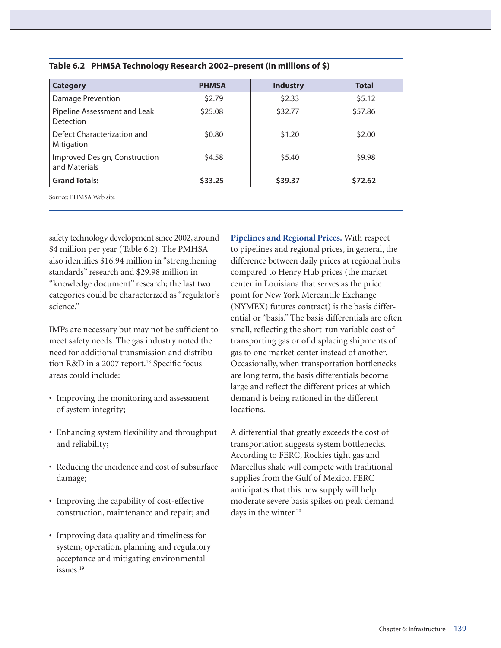| <b>Category</b>                                | <b>PHMSA</b> | <b>Industry</b> | <b>Total</b> |  |
|------------------------------------------------|--------------|-----------------|--------------|--|
| <b>Damage Prevention</b>                       | \$2.79       | \$2.33          | \$5.12       |  |
| Pipeline Assessment and Leak<br>Detection      | \$25.08      | \$32.77         | \$57.86      |  |
| Defect Characterization and<br>Mitigation      | \$0.80       | \$1.20          | \$2.00       |  |
| Improved Design, Construction<br>and Materials | \$4.58       | \$5.40          | \$9.98       |  |
| <b>Grand Totals:</b>                           | \$33.25      | \$39.37         | \$72.62      |  |

**Table 6.2 PHMSA Technology Research 2002–present (in millions of \$)**

Source: PHMSA Web site

safety technology development since 2002, around \$4 million per year (Table 6.2). The PMHSA also identifies \$16.94 million in "strengthening standards" research and \$29.98 million in "knowledge document" research; the last two categories could be characterized as "regulator's science."

IMPs are necessary but may not be sufficient to meet safety needs. The gas industry noted the need for additional transmission and distribution R&D in a 2007 report.<sup>18</sup> Specific focus areas could include:

- Improving the monitoring and assessment of system integrity;
- Enhancing system flexibility and throughput and reliability;
- Reducing the incidence and cost of subsurface damage;
- Improving the capability of cost-effective construction, maintenance and repair; and
- Improving data quality and timeliness for system, operation, planning and regulatory acceptance and mitigating environmental issues.19

**Pipelines and Regional Prices.** With respect to pipelines and regional prices, in general, the difference between daily prices at regional hubs compared to Henry Hub prices (the market center in Louisiana that serves as the price point for New York Mercantile Exchange (NYMEX) futures contract) is the basis differential or "basis." The basis differentials are often small, reflecting the short-run variable cost of transporting gas or of displacing shipments of gas to one market center instead of another. Occasionally, when transportation bottlenecks are long term, the basis differentials become large and reflect the different prices at which demand is being rationed in the different locations.

A differential that greatly exceeds the cost of transportation suggests system bottlenecks. According to FERC, Rockies tight gas and Marcellus shale will compete with traditional supplies from the Gulf of Mexico. FERC anticipates that this new supply will help moderate severe basis spikes on peak demand days in the winter.<sup>20</sup>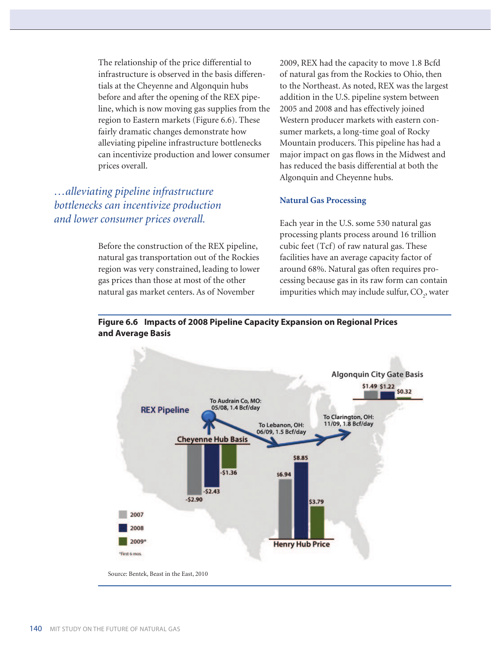The relationship of the price differential to infrastructure is observed in the basis differentials at the Cheyenne and Algonquin hubs before and after the opening of the REX pipeline, which is now moving gas supplies from the region to Eastern markets (Figure 6.6). These fairly dramatic changes demonstrate how alleviating pipeline infrastructure bottlenecks can incentivize production and lower consumer prices overall.

# *…alleviating pipeline infrastructure bottlenecks can incentivize production and lower consumer prices overall.*

Before the construction of the REX pipeline, natural gas transportation out of the Rockies region was very constrained, leading to lower gas prices than those at most of the other natural gas market centers. As of November

2009, REX had the capacity to move 1.8 Bcfd of natural gas from the Rockies to Ohio, then to the Northeast. As noted, REX was the largest addition in the U.S. pipeline system between 2005 and 2008 and has effectively joined Western producer markets with eastern consumer markets, a long-time goal of Rocky Mountain producers. This pipeline has had a major impact on gas flows in the Midwest and has reduced the basis differential at both the Algonquin and Cheyenne hubs.

## **Natural Gas Processing**

Each year in the U.S. some 530 natural gas processing plants process around 16 trillion cubic feet (Tcf) of raw natural gas. These facilities have an average capacity factor of around 68%. Natural gas often requires processing because gas in its raw form can contain impurities which may include sulfur,  $\mathrm{CO}_2$ , water



# **Figure 6.6 Impacts of 2008 Pipeline Capacity Expansion on Regional Prices and Average Basis**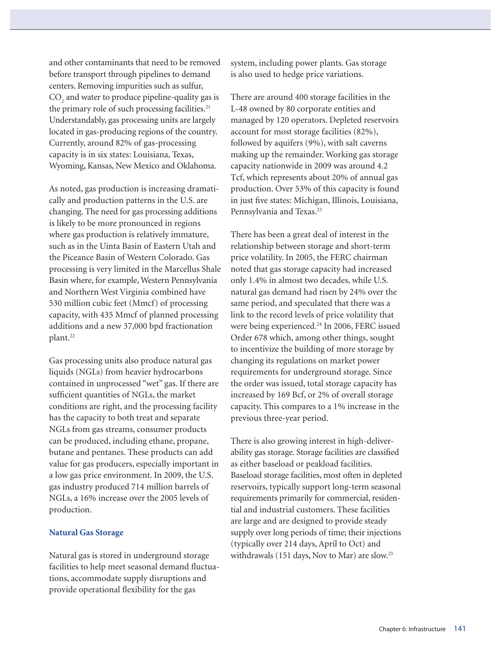and other contaminants that need to be removed before transport through pipelines to demand centers. Removing impurities such as sulfur,  $\mathrm{CO}_2$  and water to produce pipeline-quality gas is the primary role of such processing facilities.<sup>21</sup> Understandably, gas processing units are largely located in gas-producing regions of the country. Currently, around 82% of gas-processing capacity is in six states: Louisiana, Texas, Wyoming, Kansas, New Mexico and Oklahoma.

As noted, gas production is increasing dramatically and production patterns in the U.S. are changing. The need for gas processing additions is likely to be more pronounced in regions where gas production is relatively immature, such as in the Uinta Basin of Eastern Utah and the Piceance Basin of Western Colorado. Gas processing is very limited in the Marcellus Shale Basin where, for example, Western Pennsylvania and Northern West Virginia combined have 530 million cubic feet (Mmcf) of processing capacity, with 435 Mmcf of planned processing additions and a new 37,000 bpd fractionation plant.<sup>22</sup>

Gas processing units also produce natural gas liquids (NGLs) from heavier hydrocarbons contained in unprocessed "wet" gas. If there are sufficient quantities of NGLs, the market conditions are right, and the processing facility has the capacity to both treat and separate NGLs from gas streams, consumer products can be produced, including ethane, propane, butane and pentanes. These products can add value for gas producers, especially important in a low gas price environment. In 2009, the U.S. gas industry produced 714 million barrels of NGLs, a 16% increase over the 2005 levels of production.

#### **Natural Gas Storage**

Natural gas is stored in underground storage facilities to help meet seasonal demand fluctuations, accommodate supply disruptions and provide operational flexibility for the gas

system, including power plants. Gas storage is also used to hedge price variations.

There are around 400 storage facilities in the L-48 owned by 80 corporate entities and managed by 120 operators. Depleted reservoirs account for most storage facilities (82%), followed by aquifers (9%), with salt caverns making up the remainder. Working gas storage capacity nationwide in 2009 was around 4.2 Tcf, which represents about 20% of annual gas production. Over 53% of this capacity is found in just five states: Michigan, Illinois, Louisiana, Pennsylvania and Texas.<sup>23</sup>

There has been a great deal of interest in the relationship between storage and short-term price volatility. In 2005, the FERC chairman noted that gas storage capacity had increased only 1.4% in almost two decades, while U.S. natural gas demand had risen by 24% over the same period, and speculated that there was a link to the record levels of price volatility that were being experienced.<sup>24</sup> In 2006, FERC issued Order 678 which, among other things, sought to incentivize the building of more storage by changing its regulations on market power requirements for underground storage. Since the order was issued, total storage capacity has increased by 169 Bcf, or 2% of overall storage capacity. This compares to a 1% increase in the previous three-year period.

There is also growing interest in high-deliverability gas storage. Storage facilities are classified as either baseload or peakload facilities. Baseload storage facilities, most often in depleted reservoirs, typically support long-term seasonal requirements primarily for commercial, residential and industrial customers. These facilities are large and are designed to provide steady supply over long periods of time; their injections (typically over 214 days, April to Oct) and withdrawals (151 days, Nov to Mar) are slow.25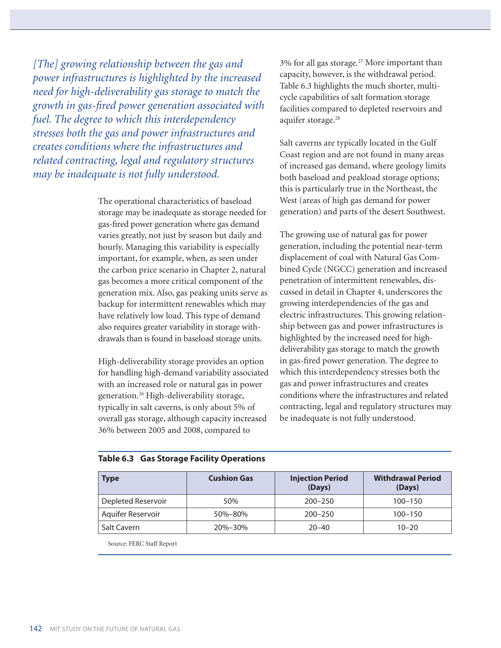*[The] growing relationship between the gas and power infrastructures is highlighted by the increased need for high-deliverability gas storage to match the growth in gas-fired power generation associated with fuel. The degree to which this interdependency stresses both the gas and power infrastructures and creates conditions where the infrastructures and related contracting, legal and regulatory structures may be inadequate is not fully understood.*

> The operational characteristics of baseload storage may be inadequate as storage needed for gas-fired power generation where gas demand varies greatly, not just by season but daily and hourly. Managing this variability is especially important, for example, when, as seen under the carbon price scenario in Chapter 2, natural gas becomes a more critical component of the generation mix. Also, gas peaking units serve as backup for intermittent renewables which may have relatively low load. This type of demand also requires greater variability in storage withdrawals than is found in baseload storage units.

> High-deliverability storage provides an option for handling high-demand variability associated with an increased role or natural gas in power generation.26 High-deliverability storage, typically in salt caverns, is only about 5% of overall gas storage, although capacity increased 36% between 2005 and 2008, compared to

3% for all gas storage.27 More important than capacity, however, is the withdrawal period. Table 6.3 highlights the much shorter, multicycle capabilities of salt formation storage facilities compared to depleted reservoirs and aquifer storage.<sup>28</sup>

Salt caverns are typically located in the Gulf Coast region and are not found in many areas of increased gas demand, where geology limits both baseload and peakload storage options; this is particularly true in the Northeast, the West (areas of high gas demand for power generation) and parts of the desert Southwest.

The growing use of natural gas for power generation, including the potential near-term displacement of coal with Natural Gas Combined Cycle (NGCC) generation and increased penetration of intermittent renewables, discussed in detail in Chapter 4, underscores the growing interdependencies of the gas and electric infrastructures. This growing relationship between gas and power infrastructures is highlighted by the increased need for highdeliverability gas storage to match the growth in gas-fired power generation. The degree to which this interdependency stresses both the gas and power infrastructures and creates conditions where the infrastructures and related contracting, legal and regulatory structures may be inadequate is not fully understood.

| <b>Table 6.3 Gas Storage Facility Operations</b> |  |
|--------------------------------------------------|--|
|--------------------------------------------------|--|

| <b>Type</b>        | <b>Cushion Gas</b> | <b>Injection Period</b><br>(Days) | <b>Withdrawal Period</b><br>(Days) |  |
|--------------------|--------------------|-----------------------------------|------------------------------------|--|
| Depleted Reservoir | 50%                | $200 - 250$                       | $100 - 150$                        |  |
| Aquifer Reservoir  | 50%-80%            | $200 - 250$                       | $100 - 150$                        |  |
| Salt Cavern        | 20%-30%            | $20 - 40$                         | $10 - 20$                          |  |

Source: FERC Staff Report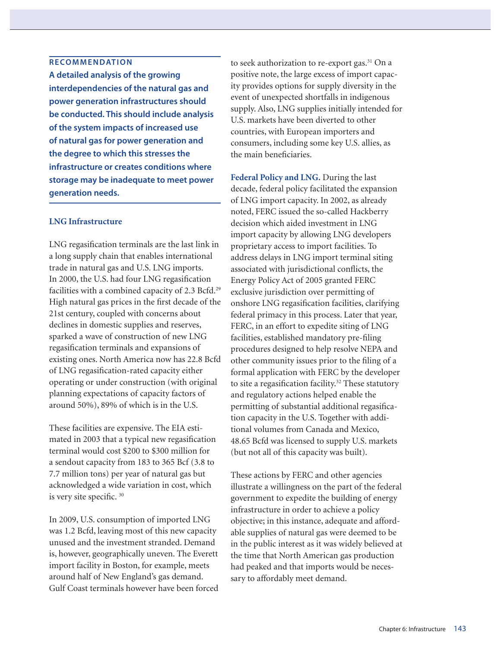#### **RECOMMENDATION**

**A detailed analysis of the growing interdependencies of the natural gas and power generation infrastructures should be conducted. This should include analysis of the system impacts of increased use of natural gas for power generation and the degree to which this stresses the infrastructure or creates conditions where storage may be inadequate to meet power generation needs.** 

#### **LNG Infrastructure**

LNG regasification terminals are the last link in a long supply chain that enables international trade in natural gas and U.S. LNG imports. In 2000, the U.S. had four LNG regasification facilities with a combined capacity of 2.3 Bcfd.<sup>29</sup> High natural gas prices in the first decade of the 21st century, coupled with concerns about declines in domestic supplies and reserves, sparked a wave of construction of new LNG regasification terminals and expansions of existing ones. North America now has 22.8 Bcfd of LNG regasification-rated capacity either operating or under construction (with original planning expectations of capacity factors of around 50%), 89% of which is in the U.S.

These facilities are expensive. The EIA estimated in 2003 that a typical new regasification terminal would cost \$200 to \$300 million for a sendout capacity from 183 to 365 Bcf (3.8 to 7.7 million tons) per year of natural gas but acknowledged a wide variation in cost, which is very site specific. 30

In 2009, U.S. consumption of imported LNG was 1.2 Bcfd, leaving most of this new capacity unused and the investment stranded. Demand is, however, geographically uneven. The Everett import facility in Boston, for example, meets around half of New England's gas demand. Gulf Coast terminals however have been forced to seek authorization to re-export gas.<sup>31</sup> On a positive note, the large excess of import capacity provides options for supply diversity in the event of unexpected shortfalls in indigenous supply. Also, LNG supplies initially intended for U.S. markets have been diverted to other countries, with European importers and consumers, including some key U.S. allies, as the main beneficiaries.

**Federal Policy and LNG.** During the last decade, federal policy facilitated the expansion of LNG import capacity. In 2002, as already noted, FERC issued the so-called Hackberry decision which aided investment in LNG import capacity by allowing LNG developers proprietary access to import facilities. To address delays in LNG import terminal siting associated with jurisdictional conflicts, the Energy Policy Act of 2005 granted FERC exclusive jurisdiction over permitting of onshore LNG regasification facilities, clarifying federal primacy in this process. Later that year, FERC, in an effort to expedite siting of LNG facilities, established mandatory pre-filing procedures designed to help resolve NEPA and other community issues prior to the filing of a formal application with FERC by the developer to site a regasification facility.<sup>32</sup> These statutory and regulatory actions helped enable the permitting of substantial additional regasification capacity in the U.S. Together with additional volumes from Canada and Mexico, 48.65 Bcfd was licensed to supply U.S. markets (but not all of this capacity was built).

These actions by FERC and other agencies illustrate a willingness on the part of the federal government to expedite the building of energy infrastructure in order to achieve a policy objective; in this instance, adequate and affordable supplies of natural gas were deemed to be in the public interest as it was widely believed at the time that North American gas production had peaked and that imports would be necessary to affordably meet demand.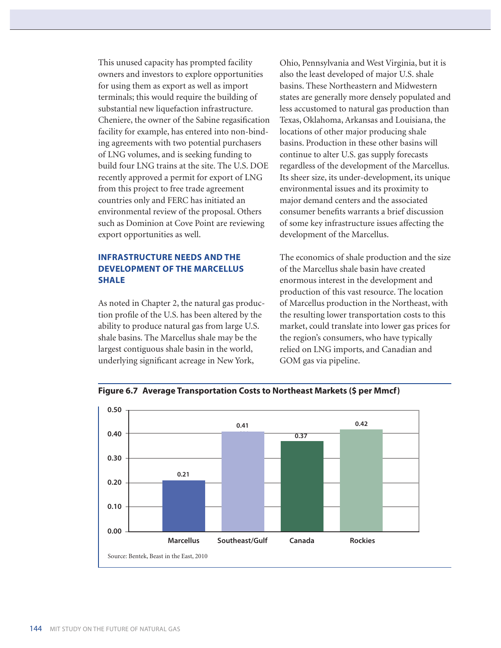This unused capacity has prompted facility owners and investors to explore opportunities for using them as export as well as import terminals; this would require the building of substantial new liquefaction infrastructure. Cheniere, the owner of the Sabine regasification facility for example, has entered into non-binding agreements with two potential purchasers of LNG volumes, and is seeking funding to build four LNG trains at the site. The U.S. DOE recently approved a permit for export of LNG from this project to free trade agreement countries only and FERC has initiated an environmental review of the proposal. Others such as Dominion at Cove Point are reviewing export opportunities as well.

# **INFRASTRUCTURE NEEDS AND THE DEVELOPMENT OF THE MARCELLUS SHALE**

As noted in Chapter 2, the natural gas production profile of the U.S. has been altered by the ability to produce natural gas from large U.S. shale basins. The Marcellus shale may be the largest contiguous shale basin in the world, underlying significant acreage in New York,

Ohio, Pennsylvania and West Virginia, but it is also the least developed of major U.S. shale basins. These Northeastern and Midwestern states are generally more densely populated and less accustomed to natural gas production than Texas, Oklahoma, Arkansas and Louisiana, the locations of other major producing shale basins. Production in these other basins will continue to alter U.S. gas supply forecasts regardless of the development of the Marcellus. Its sheer size, its under-development, its unique environmental issues and its proximity to major demand centers and the associated consumer benefits warrants a brief discussion of some key infrastructure issues affecting the development of the Marcellus.

The economics of shale production and the size of the Marcellus shale basin have created enormous interest in the development and production of this vast resource. The location of Marcellus production in the Northeast, with the resulting lower transportation costs to this market, could translate into lower gas prices for the region's consumers, who have typically relied on LNG imports, and Canadian and GOM gas via pipeline.



**Figure 6.7 Average Transportation Costs to Northeast Markets (\$ per Mmcf)**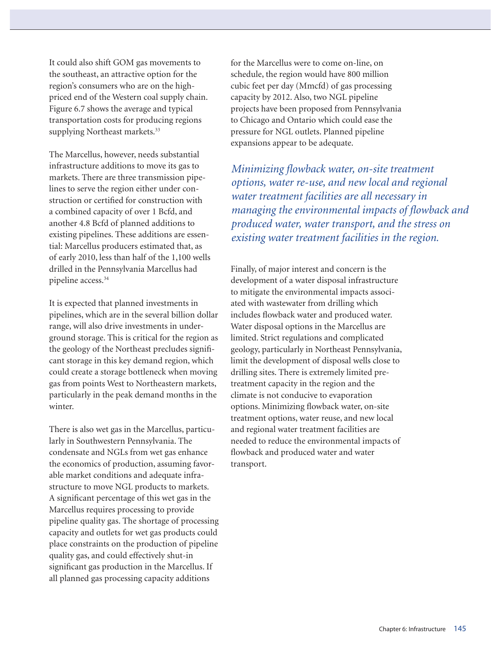It could also shift GOM gas movements to the southeast, an attractive option for the region's consumers who are on the highpriced end of the Western coal supply chain. Figure 6.7 shows the average and typical transportation costs for producing regions supplying Northeast markets.<sup>33</sup>

The Marcellus, however, needs substantial infrastructure additions to move its gas to markets. There are three transmission pipelines to serve the region either under construction or certified for construction with a combined capacity of over 1 Bcfd, and another 4.8 Bcfd of planned additions to existing pipelines. These additions are essential: Marcellus producers estimated that, as of early 2010, less than half of the 1,100 wells drilled in the Pennsylvania Marcellus had pipeline access.<sup>34</sup>

It is expected that planned investments in pipelines, which are in the several billion dollar range, will also drive investments in underground storage. This is critical for the region as the geology of the Northeast precludes significant storage in this key demand region, which could create a storage bottleneck when moving gas from points West to Northeastern markets, particularly in the peak demand months in the winter.

There is also wet gas in the Marcellus, particularly in Southwestern Pennsylvania. The condensate and NGLs from wet gas enhance the economics of production, assuming favorable market conditions and adequate infrastructure to move NGL products to markets. A significant percentage of this wet gas in the Marcellus requires processing to provide pipeline quality gas. The shortage of processing capacity and outlets for wet gas products could place constraints on the production of pipeline quality gas, and could effectively shut-in significant gas production in the Marcellus. If all planned gas processing capacity additions

for the Marcellus were to come on-line, on schedule, the region would have 800 million cubic feet per day (Mmcfd) of gas processing capacity by 2012. Also, two NGL pipeline projects have been proposed from Pennsylvania to Chicago and Ontario which could ease the pressure for NGL outlets. Planned pipeline expansions appear to be adequate.

*Minimizing flowback water, on-site treatment options, water re-use, and new local and regional water treatment facilities are all necessary in managing the environmental impacts of flowback and produced water, water transport, and the stress on existing water treatment facilities in the region.* 

Finally, of major interest and concern is the development of a water disposal infrastructure to mitigate the environmental impacts associated with wastewater from drilling which includes flowback water and produced water. Water disposal options in the Marcellus are limited. Strict regulations and complicated geology, particularly in Northeast Pennsylvania, limit the development of disposal wells close to drilling sites. There is extremely limited pretreatment capacity in the region and the climate is not conducive to evaporation options. Minimizing flowback water, on-site treatment options, water reuse, and new local and regional water treatment facilities are needed to reduce the environmental impacts of flowback and produced water and water transport.